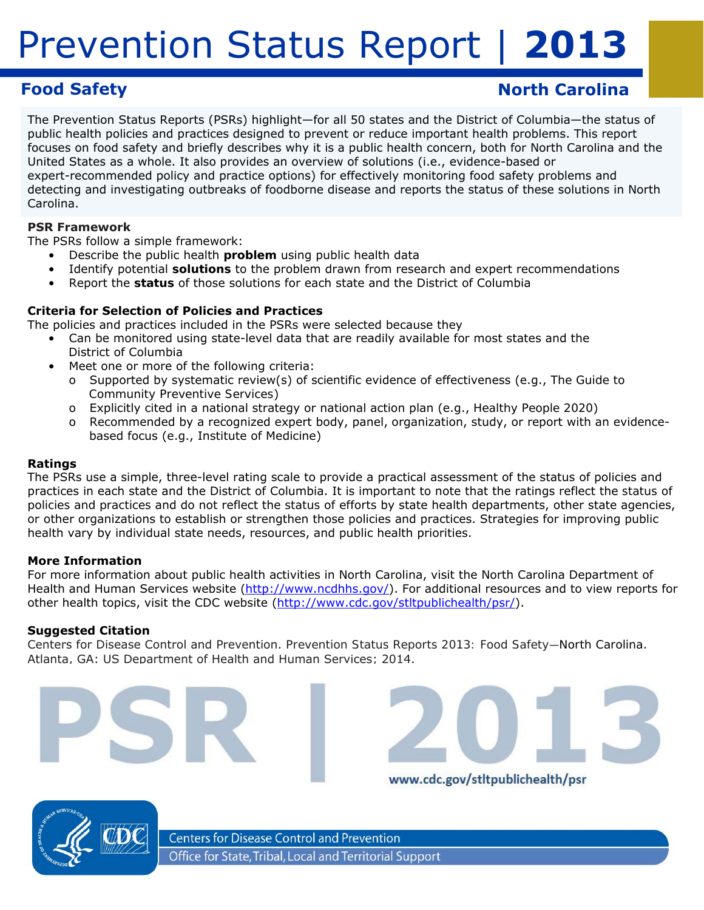# **Food Safety Construction Carolina Construction Carolina North Carolina**

The Prevention Status Reports (PSRs) highlight—for all 50 states and the District of Columbia—the status of public health policies and practices designed to prevent or reduce important health problems. This report focuses on food safety and briefly describes why it is a public health concern, both for North Carolina and the United States as a whole. It also provides an overview of solutions (i.e., evidence-based or expert-recommended policy and practice options) for effectively monitoring food safety problems and detecting and investigating outbreaks of foodborne disease and reports the status of these solutions in North Carolina.

### **PSR Framework**

The PSRs follow a simple framework:

- Describe the public health *problem* using public health data
- • Identify potential *solutions* to the problem drawn from research and expert recommendations
- • Report the *status* of those solutions for each state and the District of Columbia

### **Criteria for Selection of Policies and Practices**

The policies and practices included in the PSRs were selected because they

- Can be monitored using state-level data that are readily available for most states and the District of Columbia
- • Meet one or more of the following criteria:
	- o Supported by systematic review(s) of scientific evidence of effectiveness (e.g., *The Guide to Community Preventive Services*)
	- o Explicitly cited in a national strategy or national action plan (e.g., *Healthy People 2020*)
	- o Recommended by a recognized expert body, panel, organization, study, or report with an evidencebased focus (e.g., Institute of Medicine)

### **Ratings**

The PSRs use a simple, three-level rating scale to provide a practical assessment of the status of policies and practices in each state and the District of Columbia. It is important to note that the ratings reflect the *status of policies and practices* and do not reflect the *status of efforts* by state health departments, other state agencies, or other organizations to establish or strengthen those policies and practices. Strategies for improving public health vary by individual state needs, resources, and public health priorities.

### **More Information**

For more information about public health activities in North Carolina, visit the North Carolina Department of Health and Human Services website (http://www.ncdhhs.gov/). For additional resources and to view reports for other health topics, visit the CDC website (http://www.cdc.gov/stltpublichealth/psr/).

### **Suggested Citation**

Centers for Disease Control and Prevention. *Prevention Status Reports 2013: Food Safety—North Carolina*. Atlanta, GA: US Department of Health and Human Services; 2014.





www.cdc.gov/stltpublichealth/psr



**Centers for Disease Control and Prevention** Office for State, Tribal, Local and Territorial Support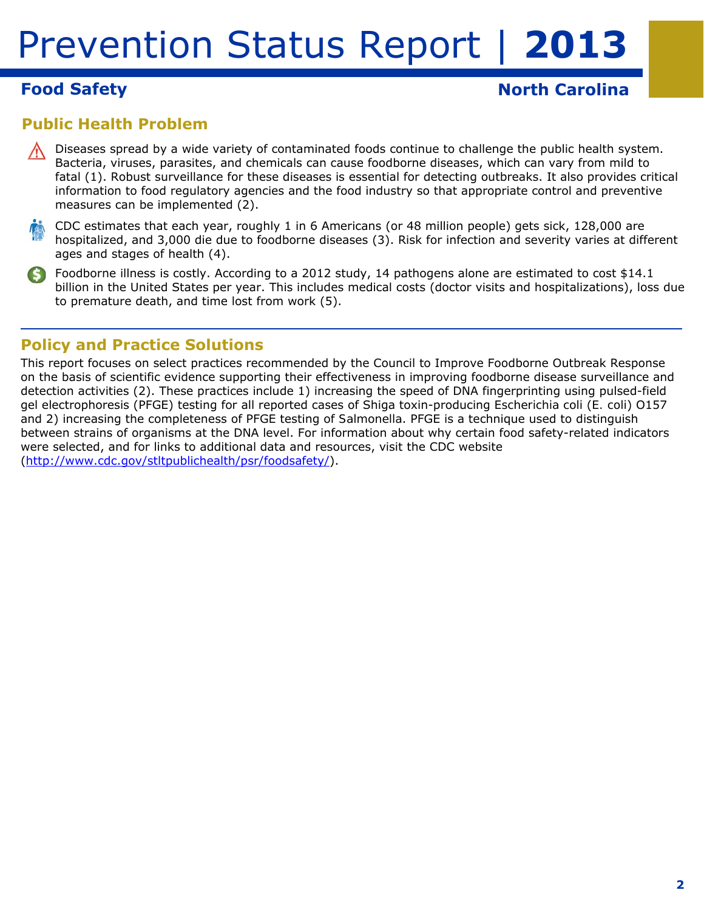# **Food Safety North Carolina North Carolina**

# **Public Health Problem**

- Diseases spread by a wide variety of contaminated foods continue to challenge the public health system. Bacteria, viruses, parasites, and chemicals can cause foodborne diseases, which can vary from mild to fatal (1). Robust surveillance for these diseases is essential for detecting outbreaks. It also provides critical information to food regulatory agencies and the food industry so that appropriate control and preventive measures can be implemented (2).
- CDC estimates that each year, roughly 1 in 6 Americans (or 48 million people) gets sick, 128,000 are hospitalized, and 3,000 die due to foodborne diseases (3). Risk for infection and severity varies at different ages and stages of health (4).
- Foodborne illness is costly. According to a 2012 study, 14 pathogens alone are estimated to cost \$14.1 billion in the United States per year. This includes medical costs (doctor visits and hospitalizations), loss due to premature death, and time lost from work (5).

## **Policy and Practice Solutions**

This report focuses on select practices recommended by the Council to Improve Foodborne Outbreak Response on the basis of scientific evidence supporting their effectiveness in improving foodborne disease surveillance and detection activities (2). These practices include 1) increasing the speed of DNA fingerprinting using pulsed-field gel electrophoresis (PFGE) testing for all reported cases of Shiga toxin-producing *Escherichia coli* (*E. coli*) O157 and 2) increasing the completeness of PFGE testing of *Salmonella*. PFGE is a technique used to distinguish between strains of organisms at the DNA level. For information about why certain food safety-related indicators were selected, and for links to additional data and resources, visit the CDC website (http://www.cdc.gov/stltpublichealth/psr/foodsafety/).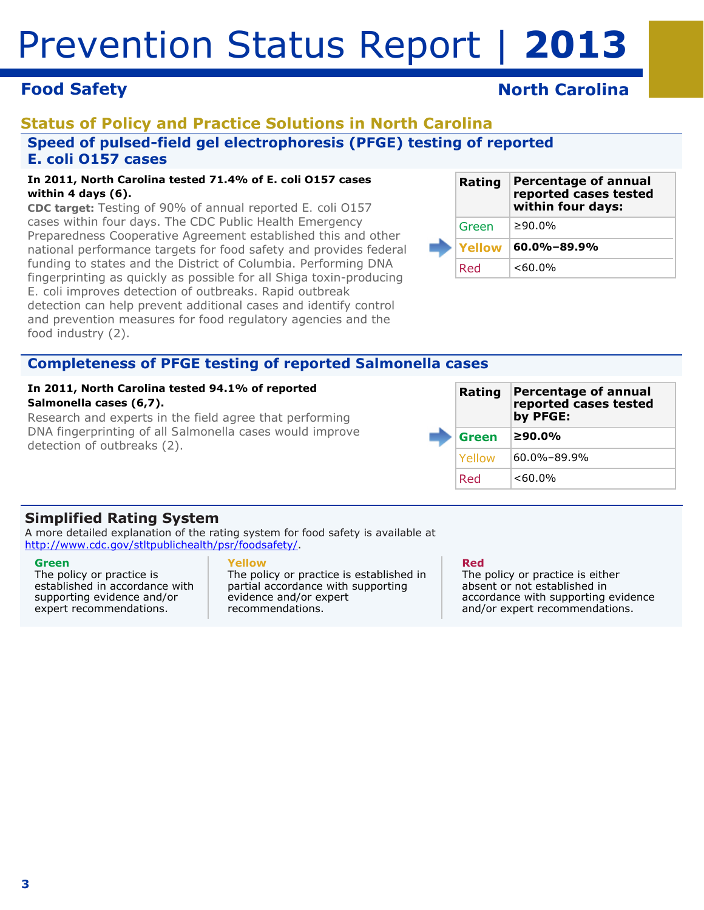# **Food Safety North Carolina North Carolina**

# **Status of Policy and Practice Solutions in North Carolina Speed of pulsed-field gel electrophoresis (PFGE) testing of reported**  *E. coli* **O157 cases**

#### **In 2011, North Carolina tested 71.4% of** *E. coli* **O157 cases within 4 days (6).**

*CDC target:* Testing of 90% of annual reported *E. coli* O157 cases within four days. The CDC Public Health Emergency Preparedness Cooperative Agreement established this and other national performance targets for food safety and provides federal funding to states and the District of Columbia. Performing DNA fingerprinting as quickly as possible for all Shiga toxin-producing *E. coli* improves detection of outbreaks. Rapid outbreak detection can help prevent additional cases and identify control and prevention measures for food regulatory agencies and the food industry (2).

|  | Rating | <b>Percentage of annual</b><br>reported cases tested<br>within four days: |
|--|--------|---------------------------------------------------------------------------|
|  | Green  | ≥90.0%                                                                    |
|  | Yellow | $60.0\% - 89.9\%$                                                         |
|  | Red    | $<60.0\%$                                                                 |

## **Completeness of PFGE testing of reported** *Salmonella* **cases**

#### **In 2011, North Carolina tested 94.1% of reported**  *Salmonella* **cases (6,7).**

Research and experts in the field agree that performing DNA fingerprinting of all *Salmonella* cases would improve detection of outbreaks (2).

|  | Rating | <b>Percentage of annual</b><br>reported cases tested<br>by PFGE: |
|--|--------|------------------------------------------------------------------|
|  | Green  | ≥90.0%                                                           |
|  | Yellow | $60.0\% - 89.9\%$                                                |
|  | Red    | $<60.0\%$                                                        |

## **Simplified Rating System**

A more detailed explanation of the rating system for food safety is available at http://www.cdc.gov/stltpublichealth/psr/foodsafety/.

#### **Green**

The policy or practice is established in accordance with supporting evidence and/or expert recommendations.

### **Yellow**

The policy or practice is established in partial accordance with supporting evidence and/or expert recommendations.

#### **Red**

The policy or practice is either absent or not established in accordance with supporting evidence and/or expert recommendations.